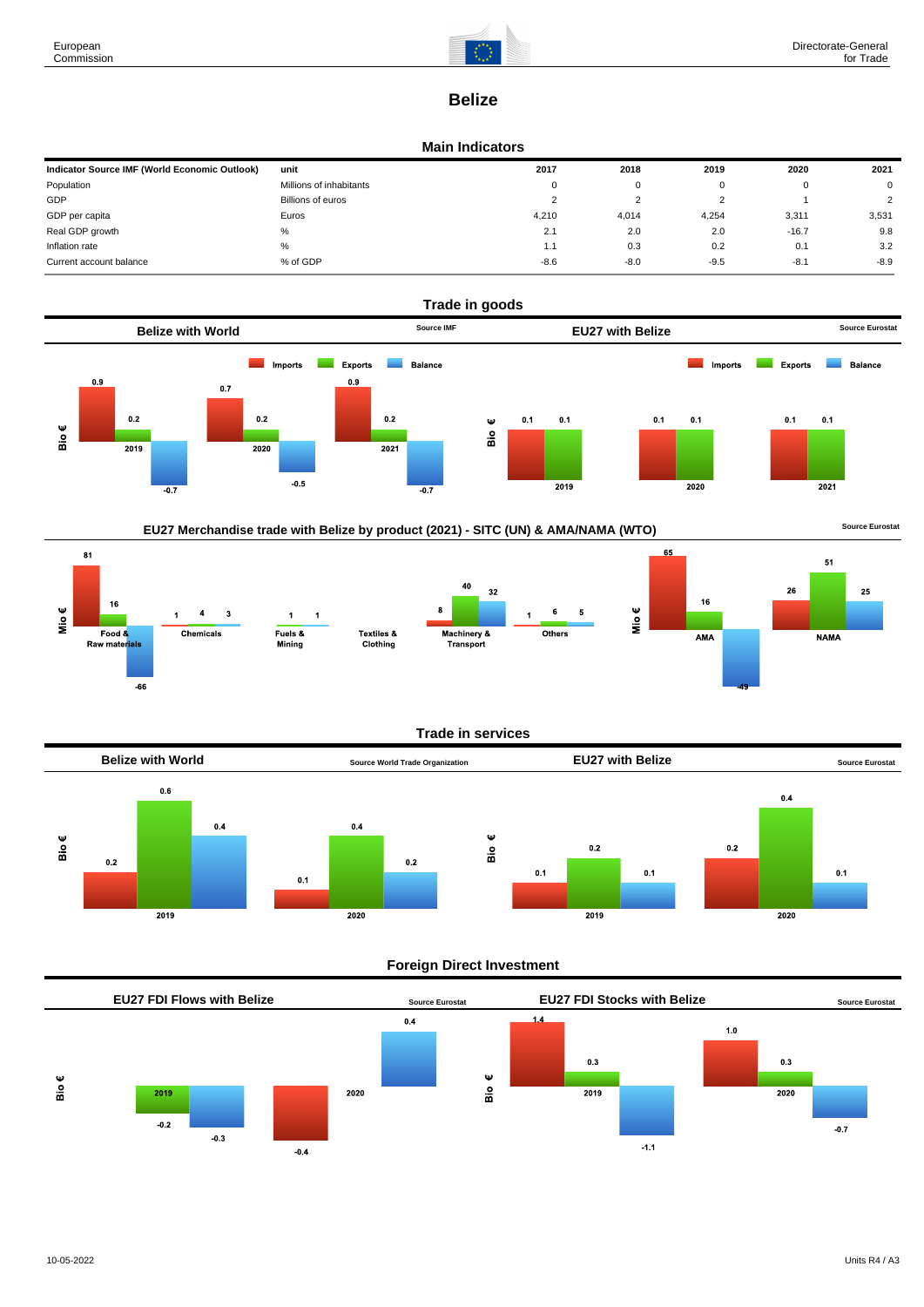$\overline{\mathbf{8}}$ 1

Mio $\epsilon$ 

 $16$ 

Food &

Raw mater<mark>ials</mark>

 $-66$ 

 $\overline{4}$  $\overline{\mathbf{3}}$ 

Chemicals

 $\ddot{\phantom{1}}$  $\overline{1}$ 

Fuels &

Mining

 $\overline{1}$ 



# **Belize**

#### **Main Indicators**

| Indicator Source IMF (World Economic Outlook) | unit                    | 2017     | 2018   | 2019   | 2020    | 2021           |
|-----------------------------------------------|-------------------------|----------|--------|--------|---------|----------------|
| Population                                    | Millions of inhabitants | $\Omega$ | 0      |        |         | $\mathbf 0$    |
| GDP                                           | Billions of euros       |          | ົ      |        |         | $\overline{2}$ |
| GDP per capita                                | Euros                   | 4.210    | 4,014  | 4,254  | 3,311   | 3,531          |
| Real GDP growth                               | %                       | 2.1      | 2.0    | 2.0    | $-16.7$ | 9.8            |
| Inflation rate                                | $\%$                    | 1.1      | 0.3    | 0.2    | 0.1     | 3.2            |
| Current account balance                       | % of GDP                | $-8.6$   | $-8.0$ | $-9.5$ | $-8.1$  | $-8.9$         |



## EU27 Merchandise trade with Belize by product (2021) - SITC (UN) & AMA/NAMA (WTO) **Source Eurostat**

Textiles &

Clothing

 $65$ 51  $26$ 25  $16$ Mio€  $6\phantom{a}$ 5 Others AMA **NAMA** 

### **Trade in services**

40

Machinery &<br>Transport

 $32$ 



### **Foreign Direct Investment**